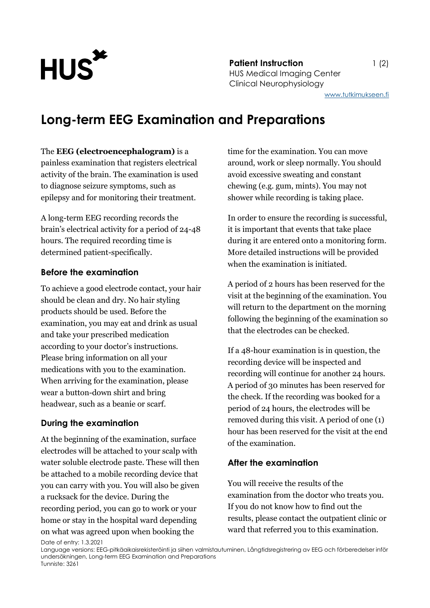

**Patient Instruction** 1 (2) HUS Medical Imaging Center Clinical Neurophysiology

[www.tutkimukseen.fi](http://www.tutkimukseen.fi/)

# **Long-term EEG Examination and Preparations**

#### The **EEG (electroencephalogram)** is a

painless examination that registers electrical activity of the brain. The examination is used to diagnose seizure symptoms, such as epilepsy and for monitoring their treatment.

A long-term EEG recording records the brain's electrical activity for a period of 24-48 hours. The required recording time is determined patient-specifically.

#### **Before the examination**

To achieve a good electrode contact, your hair should be clean and dry. No hair styling products should be used. Before the examination, you may eat and drink as usual and take your prescribed medication according to your doctor's instructions. Please bring information on all your medications with you to the examination. When arriving for the examination, please wear a button-down shirt and bring headwear, such as a beanie or scarf.

### **During the examination**

At the beginning of the examination, surface electrodes will be attached to your scalp with water soluble electrode paste. These will then be attached to a mobile recording device that you can carry with you. You will also be given a rucksack for the device. During the recording period, you can go to work or your home or stay in the hospital ward depending on what was agreed upon when booking the

time for the examination. You can move around, work or sleep normally. You should avoid excessive sweating and constant chewing (e.g. gum, mints). You may not shower while recording is taking place.

In order to ensure the recording is successful, it is important that events that take place during it are entered onto a monitoring form. More detailed instructions will be provided when the examination is initiated.

A period of 2 hours has been reserved for the visit at the beginning of the examination. You will return to the department on the morning following the beginning of the examination so that the electrodes can be checked.

If a 48-hour examination is in question, the recording device will be inspected and recording will continue for another 24 hours. A period of 30 minutes has been reserved for the check. If the recording was booked for a period of 24 hours, the electrodes will be removed during this visit. A period of one (1) hour has been reserved for the visit at the end of the examination.

### **After the examination**

You will receive the results of the examination from the doctor who treats you. If you do not know how to find out the results, please contact the outpatient clinic or ward that referred you to this examination.

Date of entry: 1.3.2021

Language versions: EEG-pitkäaikaisrekisteröinti ja siihen valmistautuminen, Långtidsregistrering av EEG och förberedelser inför undersökningen, Long-term EEG Examination and Preparations Tunniste: 3261